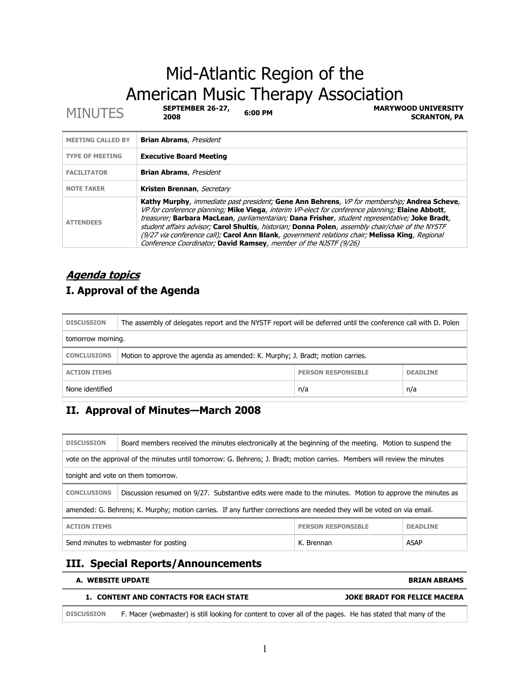# Mid-Atlantic Region of the American Music Therapy Association

MINUTES **SEPTEMBER 26-27, 2008 6:00 PM MARYWOOD UNIVERSITY SCRANTON, PA**

| <b>MEETING CALLED BY</b> | <b>Brian Abrams</b> , President                                                                                                                                                                                                                                                                                                                                                                                                                                                                                                                                               |
|--------------------------|-------------------------------------------------------------------------------------------------------------------------------------------------------------------------------------------------------------------------------------------------------------------------------------------------------------------------------------------------------------------------------------------------------------------------------------------------------------------------------------------------------------------------------------------------------------------------------|
| <b>TYPE OF MEETING</b>   | <b>Executive Board Meeting</b>                                                                                                                                                                                                                                                                                                                                                                                                                                                                                                                                                |
| <b>FACILITATOR</b>       | <b>Brian Abrams.</b> President                                                                                                                                                                                                                                                                                                                                                                                                                                                                                                                                                |
| <b>NOTE TAKER</b>        | Kristen Brennan, Secretary                                                                                                                                                                                                                                                                                                                                                                                                                                                                                                                                                    |
| <b>ATTENDEES</b>         | Kathy Murphy, immediate past president; Gene Ann Behrens, VP for membership; Andrea Scheve,<br>VP for conference planning; Mike Viega, interim VP-elect for conference planning; Elaine Abbott,<br>treasurer; Barbara MacLean, parliamentarian; Dana Frisher, student representative; Joke Bradt,<br>student affairs advisor; Carol Shultis, historian; Donna Polen, assembly chair/chair of the NYSTF<br>(9/27 via conference call); Carol Ann Blank, government relations chair; Melissa King, Regional<br>Conference Coordinator; David Ramsey, member of the NJSTF (9/26) |

## **Agenda topics**

## **I. Approval of the Agenda**

| <b>DISCUSSION</b>                                                                                   | The assembly of delegates report and the NYSTF report will be deferred until the conference call with D. Polen |  |  |
|-----------------------------------------------------------------------------------------------------|----------------------------------------------------------------------------------------------------------------|--|--|
| tomorrow morning.                                                                                   |                                                                                                                |  |  |
| Motion to approve the agenda as amended: K. Murphy; J. Bradt; motion carries.<br><b>CONCLUSIONS</b> |                                                                                                                |  |  |
| <b>PERSON RESPONSIBLE</b><br><b>DEADLINE</b><br><b>ACTION ITEMS</b>                                 |                                                                                                                |  |  |
| None identified<br>n/a<br>n/a                                                                       |                                                                                                                |  |  |

## **II. Approval of Minutes—March 2008**

| <b>DISCUSSION</b>                                                                                                              | Board members received the minutes electronically at the beginning of the meeting. Motion to suspend the |  |  |
|--------------------------------------------------------------------------------------------------------------------------------|----------------------------------------------------------------------------------------------------------|--|--|
| vote on the approval of the minutes until tomorrow: G. Behrens; J. Bradt; motion carries. Members will review the minutes      |                                                                                                          |  |  |
| tonight and vote on them tomorrow.                                                                                             |                                                                                                          |  |  |
| <b>CONCLUSIONS</b><br>Discussion resumed on 9/27. Substantive edits were made to the minutes. Motion to approve the minutes as |                                                                                                          |  |  |
| amended: G. Behrens; K. Murphy; motion carries. If any further corrections are needed they will be voted on via email.         |                                                                                                          |  |  |
| <b>ACTION ITEMS</b><br><b>PERSON RESPONSIBLE</b><br><b>DEADLINE</b>                                                            |                                                                                                          |  |  |
| <b>ASAP</b><br>Send minutes to webmaster for posting<br>K. Brennan                                                             |                                                                                                          |  |  |

## **III. Special Reports/Announcements**

### **A. WEBSITE UPDATE BRIAN ABRAMS**

### **1. CONTENT AND CONTACTS FOR EACH STATE JOKE BRADT FOR FELICE MACERA**

**DISCUSSION** F. Macer (webmaster) is still looking for content to cover all of the pages. He has stated that many of the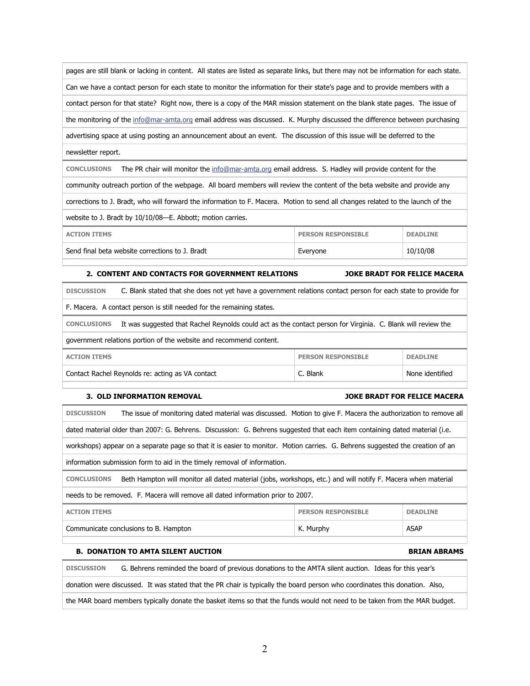pages are still blank or lacking in content. All states are listed as separate links, but there may not be information for each state. Can we have a contact person for each state to monitor the information for their state's page and to provide members with a contact person for that state? Right now, there is a copy of the MAR mission statement on the blank state pages. The issue of the monitoring of the info@mar-amta.org email address was discussed. K. Murphy discussed the difference between purchasing advertising space at using posting an announcement about an event. The discussion of this issue will be deferred to the newsletter report.

**CONCLUSIONS** The PR chair will monitor the info@mar-amta.org email address. S. Hadley will provide content for the community outreach portion of the webpage. All board members will review the content of the beta website and provide any corrections to J. Bradt, who will forward the information to F. Macera. Motion to send all changes related to the launch of the website to J. Bradt by 10/10/08—E. Abbott; motion carries.

| <b>ACTION ITEMS</b>                             | <b>PERSON RESPONSTBLE</b> | <b>DEADLINE</b> |
|-------------------------------------------------|---------------------------|-----------------|
| Send final beta website corrections to J. Bradt | Evervone                  | 10/10/08        |

### **2. CONTENT AND CONTACTS FOR GOVERNMENT RELATIONS JOKE BRADT FOR FELICE MACERA**

| <b>DISCUSSION</b><br>C. Blank stated that she does not yet have a government relations contact person for each state to provide for |                                                                       |  |  |
|-------------------------------------------------------------------------------------------------------------------------------------|-----------------------------------------------------------------------|--|--|
|                                                                                                                                     | F. Macera. A contact person is still needed for the remaining states. |  |  |
| <b>CONCLUSIONS</b><br>It was suggested that Rachel Reynolds could act as the contact person for Virginia. C. Blank will review the  |                                                                       |  |  |
| government relations portion of the website and recommend content.                                                                  |                                                                       |  |  |
| <b>PERSON RESPONSIBLE</b><br><b>ACTION ITEMS</b><br><b>DEADLINE</b>                                                                 |                                                                       |  |  |
| C. Blank<br>None identified<br>Contact Rachel Reynolds re: acting as VA contact                                                     |                                                                       |  |  |

### **3. OLD INFORMATION REMOVAL JOKE BRADT FOR FELICE MACERA**

**DISCUSSION** The issue of monitoring dated material was discussed. Motion to give F. Macera the authorization to remove all dated material older than 2007: G. Behrens. Discussion: G. Behrens suggested that each item containing dated material (i.e. workshops) appear on a separate page so that it is easier to monitor. Motion carries. G. Behrens suggested the creation of an information submission form to aid in the timely removal of information. **CONCLUSIONS** Beth Hampton will monitor all dated material (jobs, workshops, etc.) and will notify F. Macera when material needs to be removed. F. Macera will remove all dated information prior to 2007. **ACTION ITEMS PERSON RESPONSIBLE PERSON RESPONSIBLE PERSON RESPONSIBLE** Communicate conclusions to B. Hampton **ASAP** ASAP **K. Murphy** ASAP

### **B. DONATION TO AMTA SILENT AUCTION BRIAN ABRAMS**

**DISCUSSION** G. Behrens reminded the board of previous donations to the AMTA silent auction. Ideas for this year's

donation were discussed. It was stated that the PR chair is typically the board person who coordinates this donation. Also,

the MAR board members typically donate the basket items so that the funds would not need to be taken from the MAR budget.

2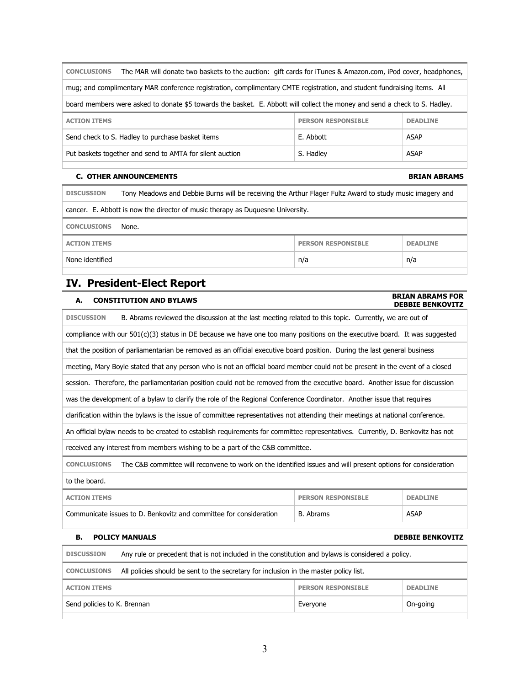| The MAR will donate two baskets to the auction: gift cards for iTunes & Amazon.com, iPod cover, headphones,<br><b>CONCLUSIONS</b> |                                                  |           |      |  |
|-----------------------------------------------------------------------------------------------------------------------------------|--------------------------------------------------|-----------|------|--|
| mug; and complimentary MAR conference registration, complimentary CMTE registration, and student fundraising items. All           |                                                  |           |      |  |
| board members were asked to donate \$5 towards the basket. E. Abbott will collect the money and send a check to S. Hadley.        |                                                  |           |      |  |
| <b>PERSON RESPONSIBLE</b><br><b>DEADLINE</b><br><b>ACTION ITEMS</b>                                                               |                                                  |           |      |  |
|                                                                                                                                   | Send check to S. Hadley to purchase basket items | E. Abbott | ASAP |  |
| Put baskets together and send to AMTA for silent auction<br>S. Hadley<br><b>ASAP</b>                                              |                                                  |           |      |  |
|                                                                                                                                   |                                                  |           |      |  |

### **C. OTHER ANNOUNCEMENTS C. OTHER ANNOUNCEMENTS**

| <b>DISCUSSION</b>                                                              | Tony Meadows and Debbie Burns will be receiving the Arthur Flager Fultz Award to study music imagery and |                           |                 |
|--------------------------------------------------------------------------------|----------------------------------------------------------------------------------------------------------|---------------------------|-----------------|
| cancer. E. Abbott is now the director of music therapy as Duguesne University. |                                                                                                          |                           |                 |
| <b>CONCLUSIONS</b><br>None.                                                    |                                                                                                          |                           |                 |
| <b>ACTION ITEMS</b>                                                            |                                                                                                          | <b>PERSON RESPONSIBLE</b> | <b>DEADLINE</b> |
| None identified<br>n/a<br>n/a                                                  |                                                                                                          |                           |                 |

## **IV. President-Elect Report**

## **A. CONSTITUTION AND BYLAWS BRIAN ABRAMS FOR**

## **DEBBIE BENKOVITZ**

| B. Abrams reviewed the discussion at the last meeting related to this topic. Currently, we are out of<br><b>DISCUSSION</b>         |                                                                                                                                |  |  |  |
|------------------------------------------------------------------------------------------------------------------------------------|--------------------------------------------------------------------------------------------------------------------------------|--|--|--|
|                                                                                                                                    | compliance with our $501(c)(3)$ status in DE because we have one too many positions on the executive board. It was suggested   |  |  |  |
|                                                                                                                                    | that the position of parliamentarian be removed as an official executive board position. During the last general business      |  |  |  |
|                                                                                                                                    | meeting, Mary Boyle stated that any person who is not an official board member could not be present in the event of a closed   |  |  |  |
|                                                                                                                                    | session. Therefore, the parliamentarian position could not be removed from the executive board. Another issue for discussion   |  |  |  |
|                                                                                                                                    | was the development of a bylaw to clarify the role of the Regional Conference Coordinator. Another issue that requires         |  |  |  |
|                                                                                                                                    | clarification within the bylaws is the issue of committee representatives not attending their meetings at national conference. |  |  |  |
|                                                                                                                                    | An official bylaw needs to be created to establish requirements for committee representatives. Currently, D. Benkovitz has not |  |  |  |
|                                                                                                                                    | received any interest from members wishing to be a part of the C&B committee.                                                  |  |  |  |
| <b>CONCLUSIONS</b><br>The C&B committee will reconvene to work on the identified issues and will present options for consideration |                                                                                                                                |  |  |  |
| to the board.                                                                                                                      |                                                                                                                                |  |  |  |
| <b>ACTION ITEMS</b><br><b>PERSON RESPONSIBLE</b><br><b>DEADLINE</b>                                                                |                                                                                                                                |  |  |  |
| Communicate issues to D. Benkovitz and committee for consideration<br><b>B.</b> Abrams<br><b>ASAP</b>                              |                                                                                                                                |  |  |  |
|                                                                                                                                    |                                                                                                                                |  |  |  |
| <b>POLICY MANUALS</b><br><b>DEBBIE BENKOVITZ</b><br>В.                                                                             |                                                                                                                                |  |  |  |
| Any rule or precedent that is not included in the constitution and bylaws is considered a policy.<br><b>DISCUSSION</b>             |                                                                                                                                |  |  |  |
| All policies should be sent to the secretary for inclusion in the master policy list.<br><b>CONCLUSIONS</b>                        |                                                                                                                                |  |  |  |
| <b>ACTION ITEMS</b><br><b>PERSON RESPONSIBLE</b><br><b>DEADLINE</b>                                                                |                                                                                                                                |  |  |  |

Send policies to K. Brennan Everyone Changes on the Send policies to K. Brennan Everyone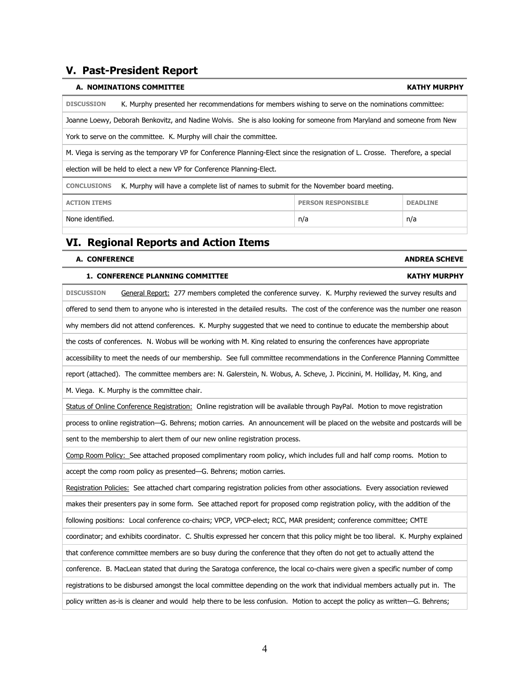## **V. Past-President Report**

### **A. NOMINATIONS COMMITTEE KATHY MURPHY**

**DISCUSSION** K. Murphy presented her recommendations for members wishing to serve on the nominations committee: Joanne Loewy, Deborah Benkovitz, and Nadine Wolvis. She is also looking for someone from Maryland and someone from New York to serve on the committee. K. Murphy will chair the committee. M. Viega is serving as the temporary VP for Conference Planning-Elect since the resignation of L. Crosse. Therefore, a special election will be held to elect a new VP for Conference Planning-Elect. **CONCLUSIONS** K. Murphy will have a complete list of names to submit for the November board meeting. **ACTION ITEMS PERSON RESPONSIBLE** DEADLINE None identified. None identified.

## **VI. Regional Reports and Action Items**

**A. CONFERENCE ANDREA SCHEVE** 

### **1. CONFERENCE PLANNING COMMITTEE <b>AT A CONFERENCE PLANNING** COMMITTEE

| <b>DISCUSSION</b><br>General Report: 277 members completed the conference survey. K. Murphy reviewed the survey results and        |
|------------------------------------------------------------------------------------------------------------------------------------|
| offered to send them to anyone who is interested in the detailed results. The cost of the conference was the number one reason     |
| why members did not attend conferences. K. Murphy suggested that we need to continue to educate the membership about               |
| the costs of conferences. N. Wobus will be working with M. King related to ensuring the conferences have appropriate               |
| accessibility to meet the needs of our membership. See full committee recommendations in the Conference Planning Committee         |
| report (attached). The committee members are: N. Galerstein, N. Wobus, A. Scheve, J. Piccinini, M. Holliday, M. King, and          |
| M. Viega. K. Murphy is the committee chair.                                                                                        |
| Status of Online Conference Registration: Online registration will be available through PayPal. Motion to move registration        |
| process to online registration-G. Behrens; motion carries. An announcement will be placed on the website and postcards will be     |
| sent to the membership to alert them of our new online registration process.                                                       |
| Comp Room Policy: See attached proposed complimentary room policy, which includes full and half comp rooms. Motion to              |
| accept the comp room policy as presented-G. Behrens; motion carries.                                                               |
| Registration Policies: See attached chart comparing registration policies from other associations. Every association reviewed      |
| makes their presenters pay in some form. See attached report for proposed comp registration policy, with the addition of the       |
| following positions: Local conference co-chairs; VPCP, VPCP-elect; RCC, MAR president; conference committee; CMTE                  |
| coordinator; and exhibits coordinator. C. Shultis expressed her concern that this policy might be too liberal. K. Murphy explained |
| that conference committee members are so busy during the conference that they often do not get to actually attend the              |
| conference. B. MacLean stated that during the Saratoga conference, the local co-chairs were given a specific number of comp        |
| registrations to be disbursed amongst the local committee depending on the work that individual members actually put in. The       |
| policy written as-is is cleaner and would help there to be less confusion. Motion to accept the policy as written-G. Behrens;      |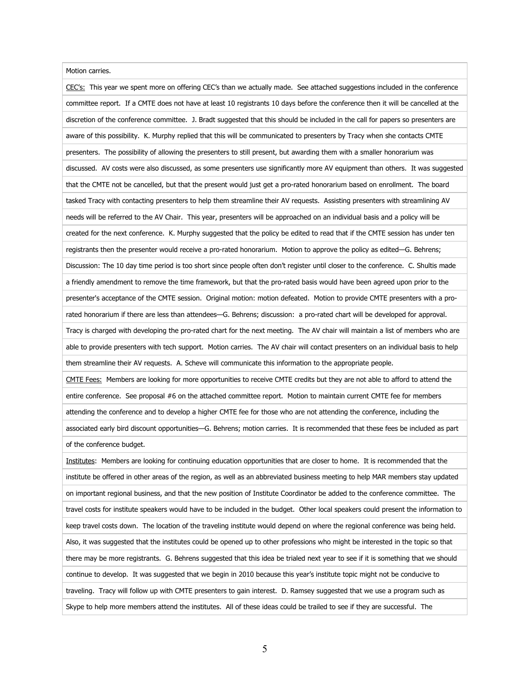### Motion carries.

CEC's: This year we spent more on offering CEC's than we actually made. See attached suggestions included in the conference committee report. If a CMTE does not have at least 10 registrants 10 days before the conference then it will be cancelled at the discretion of the conference committee. J. Bradt suggested that this should be included in the call for papers so presenters are aware of this possibility. K. Murphy replied that this will be communicated to presenters by Tracy when she contacts CMTE presenters. The possibility of allowing the presenters to still present, but awarding them with a smaller honorarium was discussed. AV costs were also discussed, as some presenters use significantly more AV equipment than others. It was suggested that the CMTE not be cancelled, but that the present would just get a pro-rated honorarium based on enrollment. The board tasked Tracy with contacting presenters to help them streamline their AV requests. Assisting presenters with streamlining AV needs will be referred to the AV Chair. This year, presenters will be approached on an individual basis and a policy will be created for the next conference. K. Murphy suggested that the policy be edited to read that if the CMTE session has under ten registrants then the presenter would receive a pro-rated honorarium. Motion to approve the policy as edited—G. Behrens; Discussion: The 10 day time period is too short since people often don't register until closer to the conference. C. Shultis made a friendly amendment to remove the time framework, but that the pro-rated basis would have been agreed upon prior to the presenter's acceptance of the CMTE session. Original motion: motion defeated. Motion to provide CMTE presenters with a prorated honorarium if there are less than attendees—G. Behrens; discussion: a pro-rated chart will be developed for approval. Tracy is charged with developing the pro-rated chart for the next meeting. The AV chair will maintain a list of members who are able to provide presenters with tech support. Motion carries. The AV chair will contact presenters on an individual basis to help them streamline their AV requests. A. Scheve will communicate this information to the appropriate people. CMTE Fees: Members are looking for more opportunities to receive CMTE credits but they are not able to afford to attend the entire conference. See proposal #6 on the attached committee report. Motion to maintain current CMTE fee for members attending the conference and to develop a higher CMTE fee for those who are not attending the conference, including the associated early bird discount opportunities—G. Behrens; motion carries. It is recommended that these fees be included as part of the conference budget. Institutes: Members are looking for continuing education opportunities that are closer to home. It is recommended that the institute be offered in other areas of the region, as well as an abbreviated business meeting to help MAR members stay updated on important regional business, and that the new position of Institute Coordinator be added to the conference committee. The travel costs for institute speakers would have to be included in the budget. Other local speakers could present the information to keep travel costs down. The location of the traveling institute would depend on where the regional conference was being held. Also, it was suggested that the institutes could be opened up to other professions who might be interested in the topic so that there may be more registrants. G. Behrens suggested that this idea be trialed next year to see if it is something that we should continue to develop. It was suggested that we begin in 2010 because this year's institute topic might not be conducive to traveling. Tracy will follow up with CMTE presenters to gain interest. D. Ramsey suggested that we use a program such as

Skype to help more members attend the institutes. All of these ideas could be trailed to see if they are successful. The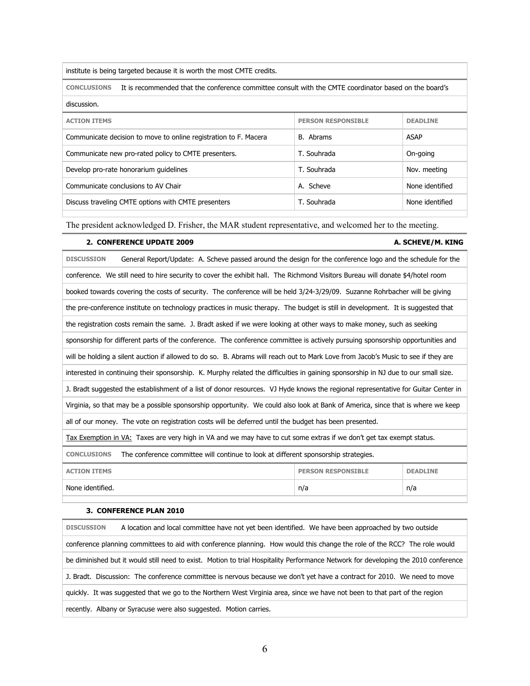institute is being targeted because it is worth the most CMTE credits.

**CONCLUSIONS** It is recommended that the conference committee consult with the CMTE coordinator based on the board's

| discussion.                                                      |                           |                 |
|------------------------------------------------------------------|---------------------------|-----------------|
| <b>ACTION ITEMS</b>                                              | <b>PERSON RESPONSIBLE</b> | <b>DEADLINE</b> |
| Communicate decision to move to online registration to F. Macera | B. Abrams                 | <b>ASAP</b>     |
| Communicate new pro-rated policy to CMTE presenters.             | T. Souhrada               | On-going        |
| Develop pro-rate honorarium quidelines                           | T. Souhrada               | Nov. meeting    |
| Communicate conclusions to AV Chair                              | A. Scheve                 | None identified |
| Discuss traveling CMTE options with CMTE presenters              | T. Souhrada               | None identified |
|                                                                  |                           |                 |

The president acknowledged D. Frisher, the MAR student representative, and welcomed her to the meeting.

### **2. CONFERENCE UPDATE 2009 A. SCHEVE/M. KING**

**DISCUSSION** General Report/Update: A. Scheve passed around the design for the conference logo and the schedule for the conference. We still need to hire security to cover the exhibit hall. The Richmond Visitors Bureau will donate \$4/hotel room booked towards covering the costs of security. The conference will be held 3/24-3/29/09. Suzanne Rohrbacher will be giving the pre-conference institute on technology practices in music therapy. The budget is still in development. It is suggested that the registration costs remain the same. J. Bradt asked if we were looking at other ways to make money, such as seeking sponsorship for different parts of the conference. The conference committee is actively pursuing sponsorship opportunities and will be holding a silent auction if allowed to do so. B. Abrams will reach out to Mark Love from Jacob's Music to see if they are interested in continuing their sponsorship. K. Murphy related the difficulties in gaining sponsorship in NJ due to our small size. J. Bradt suggested the establishment of a list of donor resources. VJ Hyde knows the regional representative for Guitar Center in Virginia, so that may be a possible sponsorship opportunity. We could also look at Bank of America, since that is where we keep all of our money. The vote on registration costs will be deferred until the budget has been presented. Tax Exemption in VA: Taxes are very high in VA and we may have to cut some extras if we don't get tax exempt status. **CONCLUSIONS** The conference committee will continue to look at different sponsorship strategies.

| <b>ACTION ITEMS</b> | <b>PERSON RESPONSIBLE</b> | <b>DEADLINE</b> |
|---------------------|---------------------------|-----------------|
| None identified.    | n/a                       | n/a             |

### **3. CONFERENCE PLAN 2010**

**DISCUSSION** A location and local committee have not yet been identified. We have been approached by two outside conference planning committees to aid with conference planning. How would this change the role of the RCC? The role would be diminished but it would still need to exist. Motion to trial Hospitality Performance Network for developing the 2010 conference J. Bradt. Discussion: The conference committee is nervous because we don't yet have a contract for 2010. We need to move quickly. It was suggested that we go to the Northern West Virginia area, since we have not been to that part of the region recently. Albany or Syracuse were also suggested. Motion carries.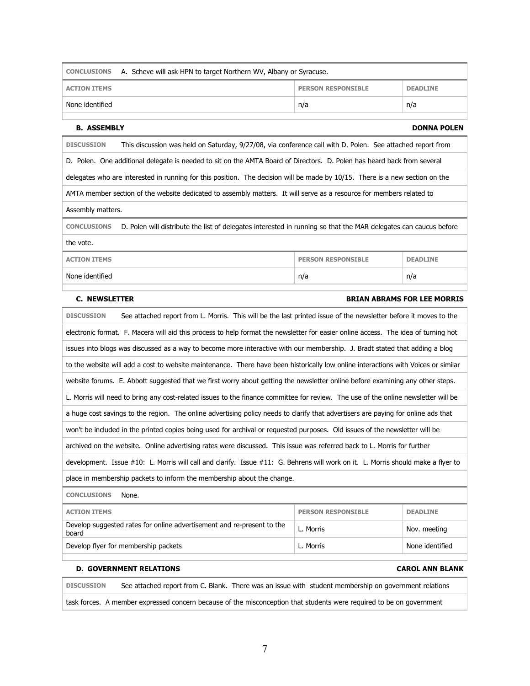| <b>CONCLUSIONS</b>                                                                                                                     | A. Scheve will ask HPN to target Northern WV, Albany or Syracuse. |                                    |  |  |
|----------------------------------------------------------------------------------------------------------------------------------------|-------------------------------------------------------------------|------------------------------------|--|--|
| <b>PERSON RESPONSIBLE</b><br><b>DEADLINE</b><br><b>ACTION ITEMS</b>                                                                    |                                                                   |                                    |  |  |
| None identified                                                                                                                        | n/a                                                               | n/a                                |  |  |
| <b>B. ASSEMBLY</b>                                                                                                                     |                                                                   | <b>DONNA POLEN</b>                 |  |  |
| <b>DISCUSSION</b><br>This discussion was held on Saturday, 9/27/08, via conference call with D. Polen. See attached report from        |                                                                   |                                    |  |  |
| D. Polen. One additional delegate is needed to sit on the AMTA Board of Directors. D. Polen has heard back from several                |                                                                   |                                    |  |  |
| delegates who are interested in running for this position. The decision will be made by 10/15. There is a new section on the           |                                                                   |                                    |  |  |
| AMTA member section of the website dedicated to assembly matters. It will serve as a resource for members related to                   |                                                                   |                                    |  |  |
| Assembly matters.                                                                                                                      |                                                                   |                                    |  |  |
| <b>CONCLUSIONS</b><br>D. Polen will distribute the list of delegates interested in running so that the MAR delegates can caucus before |                                                                   |                                    |  |  |
| the vote.                                                                                                                              |                                                                   |                                    |  |  |
| <b>ACTION ITEMS</b>                                                                                                                    | <b>PERSON RESPONSIBLE</b>                                         | <b>DEADLINE</b>                    |  |  |
| None identified                                                                                                                        | n/a                                                               | n/a                                |  |  |
| <b>C. NEWSLETTER</b>                                                                                                                   |                                                                   | <b>BRIAN ABRAMS FOR LEE MORRIS</b> |  |  |
| See attached report from L. Morris. This will be the last printed issue of the newsletter before it moves to the<br><b>DISCUSSION</b>  |                                                                   |                                    |  |  |
| electronic format. F. Macera will aid this process to help format the newsletter for easier online access. The idea of turning hot     |                                                                   |                                    |  |  |
| issues into blogs was discussed as a way to become more interactive with our membership. J. Bradt stated that adding a blog            |                                                                   |                                    |  |  |
| to the website will add a cost to website maintenance. There have been historically low online interactions with Voices or similar     |                                                                   |                                    |  |  |
| website forums. E. Abbott suggested that we first worry about getting the newsletter online before examining any other steps.          |                                                                   |                                    |  |  |
| L. Morris will need to bring any cost-related issues to the finance committee for review. The use of the online newsletter will be     |                                                                   |                                    |  |  |
| a huge cost savings to the region. The online advertising policy needs to clarify that advertisers are paying for online ads that      |                                                                   |                                    |  |  |
| won't be included in the printed copies being used for archival or requested purposes. Old issues of the newsletter will be            |                                                                   |                                    |  |  |
| archived on the website. Online advertising rates were discussed. This issue was referred back to L. Morris for further                |                                                                   |                                    |  |  |
| development. Issue #10: L. Morris will call and clarify. Issue #11: G. Behrens will work on it. L. Morris should make a flyer to       |                                                                   |                                    |  |  |
| place in membership packets to inform the membership about the change.                                                                 |                                                                   |                                    |  |  |
| <b>CONCLUSIONS</b><br>None.                                                                                                            |                                                                   |                                    |  |  |
| <b>ACTION ITEMS</b>                                                                                                                    | <b>PERSON RESPONSIBLE</b>                                         | <b>DEADLINE</b>                    |  |  |
| Develop suggested rates for online advertisement and re-present to the<br>L. Morris<br>Nov. meeting<br>board                           |                                                                   |                                    |  |  |
| Develop flyer for membership packets                                                                                                   | L. Morris                                                         | None identified                    |  |  |
| <b>CAROL ANN BLANK</b><br><b>D. GOVERNMENT RELATIONS</b>                                                                               |                                                                   |                                    |  |  |

**DISCUSSION** See attached report from C. Blank. There was an issue with student membership on government relations

task forces. A member expressed concern because of the misconception that students were required to be on government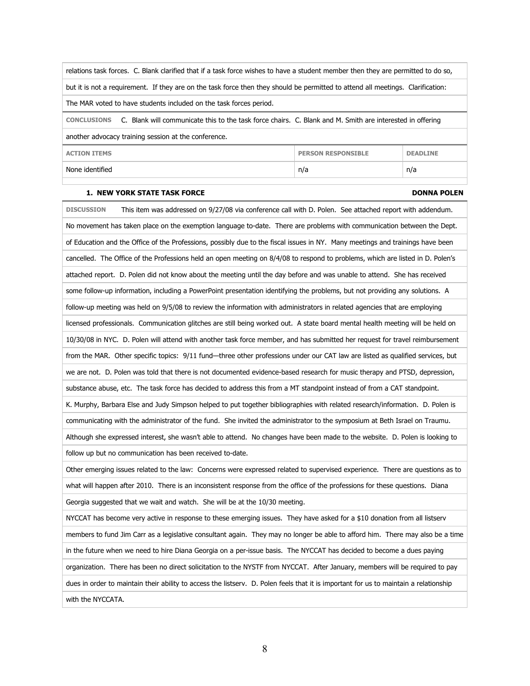| relations task forces. C. Blank clarified that if a task force wishes to have a student member then they are permitted to do so, |                           |                 |
|----------------------------------------------------------------------------------------------------------------------------------|---------------------------|-----------------|
| but it is not a requirement. If they are on the task force then they should be permitted to attend all meetings. Clarification:  |                           |                 |
| The MAR voted to have students included on the task forces period.                                                               |                           |                 |
| C. Blank will communicate this to the task force chairs. C. Blank and M. Smith are interested in offering<br><b>CONCLUSIONS</b>  |                           |                 |
| another advocacy training session at the conference.                                                                             |                           |                 |
| <b>ACTION ITEMS</b>                                                                                                              | <b>PERSON RESPONSIBLE</b> | <b>DEADLINE</b> |
| None identified                                                                                                                  | n/a                       | n/a             |
|                                                                                                                                  |                           |                 |

### **1. NEW YORK STATE TASK FORCE** *DONNA POLEN*

| <b>DISCUSSION</b><br>This item was addressed on 9/27/08 via conference call with D. Polen. See attached report with addendum.         |
|---------------------------------------------------------------------------------------------------------------------------------------|
| No movement has taken place on the exemption language to-date. There are problems with communication between the Dept.                |
| of Education and the Office of the Professions, possibly due to the fiscal issues in NY. Many meetings and trainings have been        |
| cancelled. The Office of the Professions held an open meeting on 8/4/08 to respond to problems, which are listed in D. Polen's        |
| attached report. D. Polen did not know about the meeting until the day before and was unable to attend. She has received              |
| some follow-up information, including a PowerPoint presentation identifying the problems, but not providing any solutions. A          |
| follow-up meeting was held on 9/5/08 to review the information with administrators in related agencies that are employing             |
| licensed professionals. Communication glitches are still being worked out. A state board mental health meeting will be held on        |
| 10/30/08 in NYC. D. Polen will attend with another task force member, and has submitted her request for travel reimbursement          |
| from the MAR. Other specific topics: 9/11 fund—three other professions under our CAT law are listed as qualified services, but        |
| we are not. D. Polen was told that there is not documented evidence-based research for music therapy and PTSD, depression,            |
| substance abuse, etc. The task force has decided to address this from a MT standpoint instead of from a CAT standpoint.               |
| K. Murphy, Barbara Else and Judy Simpson helped to put together bibliographies with related research/information. D. Polen is         |
| communicating with the administrator of the fund. She invited the administrator to the symposium at Beth Israel on Traumu.            |
| Although she expressed interest, she wasn't able to attend. No changes have been made to the website. D. Polen is looking to          |
| follow up but no communication has been received to-date.                                                                             |
| Other emerging issues related to the law: Concerns were expressed related to supervised experience. There are questions as to         |
| what will happen after 2010. There is an inconsistent response from the office of the professions for these questions. Diana          |
| Georgia suggested that we wait and watch. She will be at the 10/30 meeting.                                                           |
| NYCCAT has become very active in response to these emerging issues. They have asked for a \$10 donation from all listserv             |
| members to fund Jim Carr as a legislative consultant again. They may no longer be able to afford him. There may also be a time        |
| in the future when we need to hire Diana Georgia on a per-issue basis. The NYCCAT has decided to become a dues paying                 |
| organization. There has been no direct solicitation to the NYSTF from NYCCAT. After January, members will be required to pay          |
| dues in order to maintain their ability to access the listserv. D. Polen feels that it is important for us to maintain a relationship |
| with the NYCCATA.                                                                                                                     |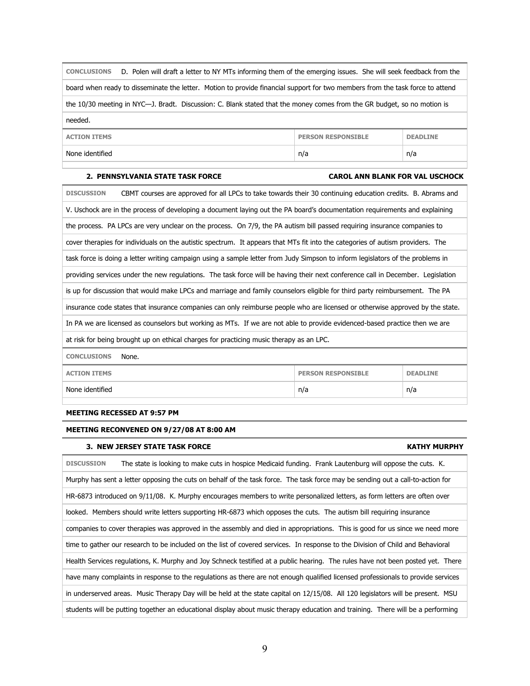| D. Polen will draft a letter to NY MTs informing them of the emerging issues. She will seek feedback from the<br><b>CONCLUSIONS</b> |                           |                 |
|-------------------------------------------------------------------------------------------------------------------------------------|---------------------------|-----------------|
| board when ready to disseminate the letter. Motion to provide financial support for two members from the task force to attend       |                           |                 |
| the 10/30 meeting in NYC—J. Bradt. Discussion: C. Blank stated that the money comes from the GR budget, so no motion is             |                           |                 |
| needed.                                                                                                                             |                           |                 |
| <b>ACTION ITEMS</b>                                                                                                                 | <b>PERSON RESPONSIBLE</b> | <b>DEADLINE</b> |
| None identified                                                                                                                     | n/a                       | n/a             |
|                                                                                                                                     |                           |                 |

### **2. PENNSYLVANIA STATE TASK FORCE CAROL ANN BLANK FOR VAL USCHOCK**

| <b>DISCUSSION</b>                                                                                                             |       |  | CBMT courses are approved for all LPCs to take towards their 30 continuing education credits. B. Abrams and                     |                 |
|-------------------------------------------------------------------------------------------------------------------------------|-------|--|---------------------------------------------------------------------------------------------------------------------------------|-----------------|
|                                                                                                                               |       |  | V. Uschock are in the process of developing a document laying out the PA board's documentation requirements and explaining      |                 |
|                                                                                                                               |       |  | the process. PA LPCs are very unclear on the process. On 7/9, the PA autism bill passed requiring insurance companies to        |                 |
|                                                                                                                               |       |  | cover therapies for individuals on the autistic spectrum. It appears that MTs fit into the categories of autism providers. The  |                 |
|                                                                                                                               |       |  | task force is doing a letter writing campaign using a sample letter from Judy Simpson to inform legislators of the problems in  |                 |
|                                                                                                                               |       |  | providing services under the new regulations. The task force will be having their next conference call in December. Legislation |                 |
| is up for discussion that would make LPCs and marriage and family counselors eligible for third party reimbursement. The PA   |       |  |                                                                                                                                 |                 |
| insurance code states that insurance companies can only reimburse people who are licensed or otherwise approved by the state. |       |  |                                                                                                                                 |                 |
| In PA we are licensed as counselors but working as MTs. If we are not able to provide evidenced-based practice then we are    |       |  |                                                                                                                                 |                 |
| at risk for being brought up on ethical charges for practicing music therapy as an LPC.                                       |       |  |                                                                                                                                 |                 |
| <b>CONCLUSIONS</b>                                                                                                            | None. |  |                                                                                                                                 |                 |
| <b>ACTION ITEMS</b>                                                                                                           |       |  | <b>PERSON RESPONSIBLE</b>                                                                                                       | <b>DEADLINE</b> |
| None identified                                                                                                               |       |  | n/a                                                                                                                             | n/a             |
|                                                                                                                               |       |  |                                                                                                                                 |                 |

### **MEETING RECESSED AT 9:57 PM**

### **MEETING RECONVENED ON 9/27/08 AT 8:00 AM**

| <b>3. NEW JERSEY STATE TASK FORCE</b>                                                                                            | <b>KATHY MURPHY</b> |
|----------------------------------------------------------------------------------------------------------------------------------|---------------------|
| The state is looking to make cuts in hospice Medicaid funding. Frank Lautenburg will oppose the cuts. K.<br><b>DISCUSSION</b>    |                     |
| Murphy has sent a letter opposing the cuts on behalf of the task force. The task force may be sending out a call-to-action for   |                     |
| HR-6873 introduced on 9/11/08. K. Murphy encourages members to write personalized letters, as form letters are often over        |                     |
| looked. Members should write letters supporting HR-6873 which opposes the cuts. The autism bill requiring insurance              |                     |
| companies to cover therapies was approved in the assembly and died in appropriations. This is good for us since we need more     |                     |
| time to gather our research to be included on the list of covered services. In response to the Division of Child and Behavioral  |                     |
| Health Services regulations, K. Murphy and Joy Schneck testified at a public hearing. The rules have not been posted yet. There  |                     |
| have many complaints in response to the regulations as there are not enough qualified licensed professionals to provide services |                     |
| in underserved areas. Music Therapy Day will be held at the state capital on 12/15/08. All 120 legislators will be present. MSU  |                     |
| students will be putting together an educational display about music therapy education and training. There will be a performing  |                     |
|                                                                                                                                  |                     |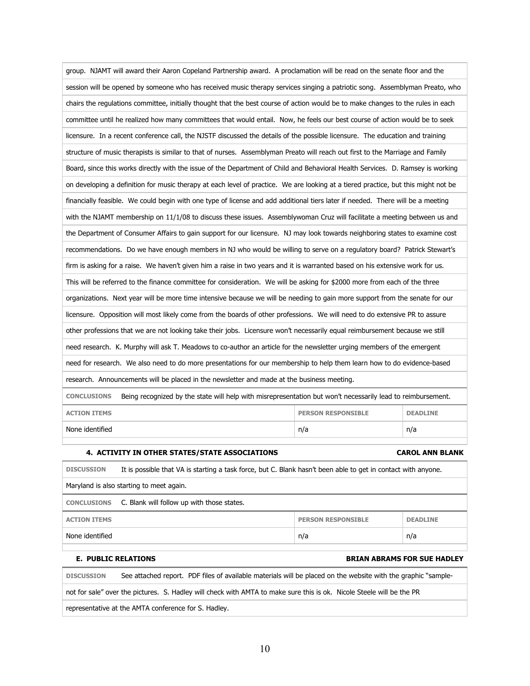| group. NJAMT will award their Aaron Copeland Partnership award. A proclamation will be read on the senate floor and the            |                           |                 |
|------------------------------------------------------------------------------------------------------------------------------------|---------------------------|-----------------|
| session will be opened by someone who has received music therapy services singing a patriotic song. Assemblyman Preato, who        |                           |                 |
| chairs the regulations committee, initially thought that the best course of action would be to make changes to the rules in each   |                           |                 |
| committee until he realized how many committees that would entail. Now, he feels our best course of action would be to seek        |                           |                 |
| licensure. In a recent conference call, the NJSTF discussed the details of the possible licensure. The education and training      |                           |                 |
| structure of music therapists is similar to that of nurses. Assemblyman Preato will reach out first to the Marriage and Family     |                           |                 |
| Board, since this works directly with the issue of the Department of Child and Behavioral Health Services. D. Ramsey is working    |                           |                 |
| on developing a definition for music therapy at each level of practice. We are looking at a tiered practice, but this might not be |                           |                 |
| financially feasible. We could begin with one type of license and add additional tiers later if needed. There will be a meeting    |                           |                 |
| with the NJAMT membership on 11/1/08 to discuss these issues. Assemblywoman Cruz will facilitate a meeting between us and          |                           |                 |
| the Department of Consumer Affairs to gain support for our licensure. NJ may look towards neighboring states to examine cost       |                           |                 |
| recommendations. Do we have enough members in NJ who would be willing to serve on a regulatory board? Patrick Stewart's            |                           |                 |
| firm is asking for a raise. We haven't given him a raise in two years and it is warranted based on his extensive work for us.      |                           |                 |
| This will be referred to the finance committee for consideration. We will be asking for \$2000 more from each of the three         |                           |                 |
| organizations. Next year will be more time intensive because we will be needing to gain more support from the senate for our       |                           |                 |
| licensure. Opposition will most likely come from the boards of other professions. We will need to do extensive PR to assure        |                           |                 |
| other professions that we are not looking take their jobs. Licensure won't necessarily equal reimbursement because we still        |                           |                 |
| need research. K. Murphy will ask T. Meadows to co-author an article for the newsletter urging members of the emergent             |                           |                 |
| need for research. We also need to do more presentations for our membership to help them learn how to do evidence-based            |                           |                 |
| research. Announcements will be placed in the newsletter and made at the business meeting.                                         |                           |                 |
| Being recognized by the state will help with misrepresentation but won't necessarily lead to reimbursement.<br><b>CONCLUSIONS</b>  |                           |                 |
| <b>ACTION ITEMS</b>                                                                                                                | <b>PERSON RESPONSIBLE</b> | <b>DEADLINE</b> |
| None identified                                                                                                                    | n/a                       | n/a             |

### **4. ACTIVITY IN OTHER STATES/STATE ASSOCIATIONS CAROL ANN BLANK**

| <b>DISCUSSION</b>                        | It is possible that VA is starting a task force, but C. Blank hasn't been able to get in contact with anyone. |                           |                 |
|------------------------------------------|---------------------------------------------------------------------------------------------------------------|---------------------------|-----------------|
| Maryland is also starting to meet again. |                                                                                                               |                           |                 |
|                                          | CONCLUSIONS C. Blank will follow up with those states.                                                        |                           |                 |
| <b>ACTION ITEMS</b>                      |                                                                                                               | <b>PERSON RESPONSIBLE</b> | <b>DEADLINE</b> |
| None identified                          |                                                                                                               | n/a                       | n/a             |
|                                          |                                                                                                               |                           |                 |

### **E. PUBLIC RELATIONS BRIAN ABRAMS FOR SUE HADLEY**

**DISCUSSION** See attached report. PDF files of available materials will be placed on the website with the graphic "sample-

not for sale" over the pictures. S. Hadley will check with AMTA to make sure this is ok. Nicole Steele will be the PR

representative at the AMTA conference for S. Hadley.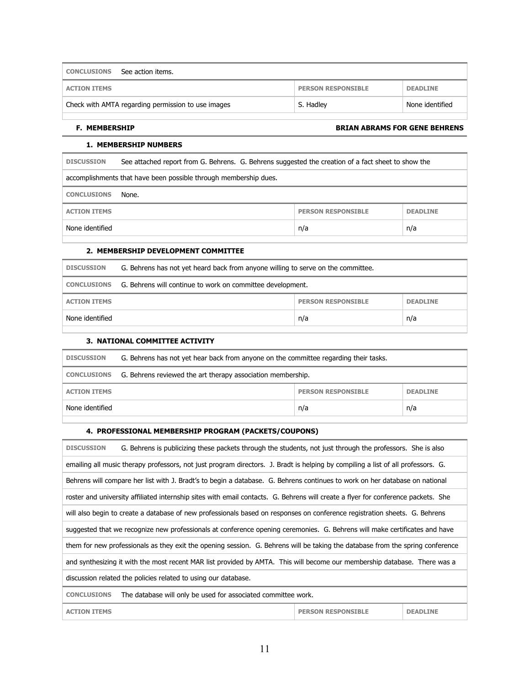| <b>CONCLUSIONS</b> See action items.               |                           |                 |
|----------------------------------------------------|---------------------------|-----------------|
| <b>ACTION ITEMS</b>                                | <b>PERSON RESPONSIBLE</b> | <b>DEADLINE</b> |
| Check with AMTA regarding permission to use images | S. Hadley                 | None identified |

### **F. MEMBERSHIP BRIAN ABRAMS FOR GENE BEHRENS**

### **1. MEMBERSHIP NUMBERS**

| <b>DISCUSSION</b>                                                | See attached report from G. Behrens. G. Behrens suggested the creation of a fact sheet to show the |                           |                 |
|------------------------------------------------------------------|----------------------------------------------------------------------------------------------------|---------------------------|-----------------|
| accomplishments that have been possible through membership dues. |                                                                                                    |                           |                 |
| <b>CONCLUSIONS</b>                                               | None.                                                                                              |                           |                 |
| <b>ACTION ITEMS</b>                                              |                                                                                                    | <b>PERSON RESPONSIBLE</b> | <b>DEADLINE</b> |
| None identified                                                  |                                                                                                    | n/a                       | n/a             |
|                                                                  |                                                                                                    |                           |                 |

### **2. MEMBERSHIP DEVELOPMENT COMMITTEE**

| <b>DISCUSSION</b>   | G. Behrens has not yet heard back from anyone willing to serve on the committee. |                           |                 |
|---------------------|----------------------------------------------------------------------------------|---------------------------|-----------------|
|                     | CONCLUSIONS G. Behrens will continue to work on committee development.           |                           |                 |
| <b>ACTION ITEMS</b> |                                                                                  | <b>PERSON RESPONSIBLE</b> | <b>DEADLINE</b> |
| None identified     |                                                                                  | n/a                       | n/a             |
|                     |                                                                                  |                           |                 |

### **3. NATIONAL COMMITTEE ACTIVITY**

| <b>DISCUSSION</b>   | G. Behrens has not yet hear back from anyone on the committee regarding their tasks. |     |     |
|---------------------|--------------------------------------------------------------------------------------|-----|-----|
| <b>CONCLUSIONS</b>  | G. Behrens reviewed the art therapy association membership.                          |     |     |
| <b>ACTION ITEMS</b> | <b>PERSON RESPONSIBLE</b><br><b>DEADLINE</b>                                         |     |     |
| None identified     |                                                                                      | n/a | n/a |
|                     |                                                                                      |     |     |

### **4. PROFESSIONAL MEMBERSHIP PROGRAM (PACKETS/COUPONS)**

| <b>DISCUSSION</b><br>G. Behrens is publicizing these packets through the students, not just through the professors. She is also   |  |  |
|-----------------------------------------------------------------------------------------------------------------------------------|--|--|
| emailing all music therapy professors, not just program directors. J. Bradt is helping by compiling a list of all professors. G.  |  |  |
| Behrens will compare her list with J. Bradt's to begin a database. G. Behrens continues to work on her database on national       |  |  |
| roster and university affiliated internship sites with email contacts. G. Behrens will create a flyer for conference packets. She |  |  |
| will also begin to create a database of new professionals based on responses on conference registration sheets. G. Behrens        |  |  |
| suggested that we recognize new professionals at conference opening ceremonies. G. Behrens will make certificates and have        |  |  |
| them for new professionals as they exit the opening session. G. Behrens will be taking the database from the spring conference    |  |  |
| and synthesizing it with the most recent MAR list provided by AMTA. This will become our membership database. There was a         |  |  |
| discussion related the policies related to using our database.                                                                    |  |  |
| <b>CONCLUSIONS</b><br>The database will only be used for associated committee work.                                               |  |  |
| <b>ACTION ITEMS</b><br><b>PERSON RESPONSTBLE</b><br><b>DEADLINE</b>                                                               |  |  |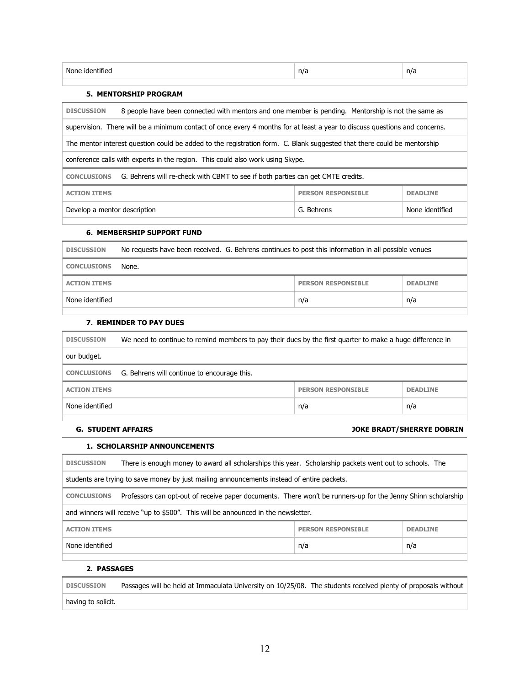| M |  |
|---|--|
|   |  |

### **5. MENTORSHIP PROGRAM**

| <b>DISCUSSION</b>                                                                                     | 8 people have been connected with mentors and one member is pending. Mentorship is not the same as                         |  |  |  |
|-------------------------------------------------------------------------------------------------------|----------------------------------------------------------------------------------------------------------------------------|--|--|--|
|                                                                                                       | supervision. There will be a minimum contact of once every 4 months for at least a year to discuss questions and concerns. |  |  |  |
|                                                                                                       | The mentor interest question could be added to the registration form. C. Blank suggested that there could be mentorship    |  |  |  |
| conference calls with experts in the region. This could also work using Skype.                        |                                                                                                                            |  |  |  |
| G. Behrens will re-check with CBMT to see if both parties can get CMTE credits.<br><b>CONCLUSIONS</b> |                                                                                                                            |  |  |  |
| <b>PERSON RESPONSIBLE</b><br><b>ACTION ITEMS</b><br><b>DEADLINE</b>                                   |                                                                                                                            |  |  |  |
| None identified<br>Develop a mentor description<br>G. Behrens                                         |                                                                                                                            |  |  |  |

### **6. MEMBERSHIP SUPPORT FUND**

| <b>DISCUSSION</b>   | No requests have been received. G. Behrens continues to post this information in all possible venues |                           |                 |
|---------------------|------------------------------------------------------------------------------------------------------|---------------------------|-----------------|
| <b>CONCLUSIONS</b>  | None.                                                                                                |                           |                 |
| <b>ACTION ITEMS</b> |                                                                                                      | <b>PERSON RESPONSIBLE</b> | <b>DEADLINE</b> |
| None identified     |                                                                                                      | n/a                       | n/a             |

### **7. REMINDER TO PAY DUES**

| <b>DISCUSSION</b>   | We need to continue to remind members to pay their dues by the first quarter to make a huge difference in |  |  |  |
|---------------------|-----------------------------------------------------------------------------------------------------------|--|--|--|
| our budget.         |                                                                                                           |  |  |  |
| <b>CONCLUSIONS</b>  | G. Behrens will continue to encourage this.                                                               |  |  |  |
| <b>ACTION ITEMS</b> | <b>PERSON RESPONSIBLE</b><br><b>DEADLINE</b>                                                              |  |  |  |
| None identified     | n/a<br>n/a                                                                                                |  |  |  |
|                     |                                                                                                           |  |  |  |

### **G. STUDENT AFFAIRS JOKE BRADT/SHERRYE DOBRIN**

**PERSON RESPONSIBLE** DEADLINE

### **1. SCHOLARSHIP ANNOUNCEMENTS**

| <b>DISCUSSION</b> |  |  | There is enough money to award all scholarships this year. Scholarship packets went out to schools. The |  |
|-------------------|--|--|---------------------------------------------------------------------------------------------------------|--|
|-------------------|--|--|---------------------------------------------------------------------------------------------------------|--|

students are trying to save money by just mailing announcements instead of entire packets.

**CONCLUSIONS** Professors can opt-out of receive paper documents. There won't be runners-up for the Jenny Shinn scholarship

and winners will receive "up to \$500". This will be announced in the newsletter.

| <b>ACTION ITEMS</b> |  |
|---------------------|--|
|---------------------|--|

| None<br>.<br>identitier' | --<br>n/a |  |
|--------------------------|-----------|--|
| .                        |           |  |

### **2. PASSAGES**

| <b>DISCUSSION</b>  | Passages will be held at Immaculata University on 10/25/08. The students received plenty of proposals without |  |
|--------------------|---------------------------------------------------------------------------------------------------------------|--|
| having to solicit. |                                                                                                               |  |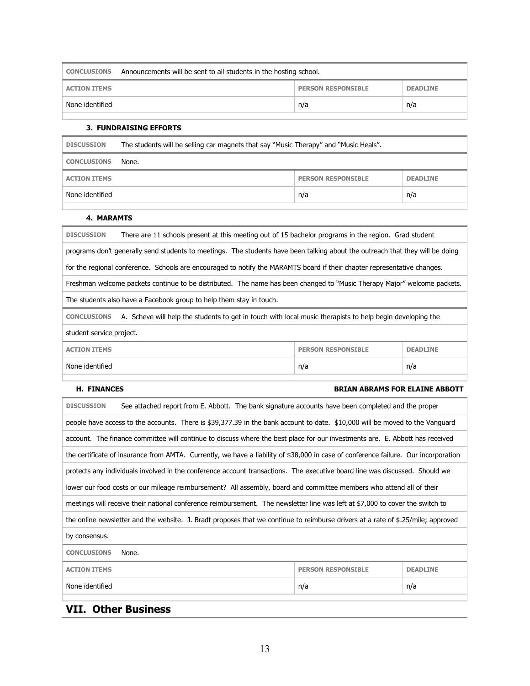| <b>CONCLUSIONS</b>  | Announcements will be sent to all students in the hosting school. |     |     |  |
|---------------------|-------------------------------------------------------------------|-----|-----|--|
| <b>ACTION ITEMS</b> | <b>PERSON RESPONSIBLE</b><br><b>DEADLINE</b>                      |     |     |  |
| None identified     |                                                                   | n/a | n/a |  |
|                     |                                                                   |     |     |  |

### **3. FUNDRAISING EFFORTS**

| <b>DISCUSSION</b>   | The students will be selling car magnets that say "Music Therapy" and "Music Heals". |                           |                 |  |
|---------------------|--------------------------------------------------------------------------------------|---------------------------|-----------------|--|
| <b>CONCLUSIONS</b>  | None.                                                                                |                           |                 |  |
| <b>ACTION ITEMS</b> |                                                                                      | <b>PERSON RESPONSIBLE</b> | <b>DEADLINE</b> |  |
| None identified     | n/a<br>n/a                                                                           |                           |                 |  |
|                     |                                                                                      |                           |                 |  |

### **4. MARAMTS**

| There are 11 schools present at this meeting out of 15 bachelor programs in the region. Grad student<br><b>DISCUSSION</b>       |     |     |  |  |
|---------------------------------------------------------------------------------------------------------------------------------|-----|-----|--|--|
| programs don't generally send students to meetings. The students have been talking about the outreach that they will be doing   |     |     |  |  |
| for the regional conference. Schools are encouraged to notify the MARAMTS board if their chapter representative changes.        |     |     |  |  |
| Freshman welcome packets continue to be distributed. The name has been changed to "Music Therapy Major" welcome packets.        |     |     |  |  |
| The students also have a Facebook group to help them stay in touch.                                                             |     |     |  |  |
| A. Scheve will help the students to get in touch with local music therapists to help begin developing the<br><b>CONCLUSIONS</b> |     |     |  |  |
| student service project.                                                                                                        |     |     |  |  |
| <b>ACTION ITEMS</b><br><b>PERSON RESPONSIBLE</b><br><b>DEADLINE</b>                                                             |     |     |  |  |
| None identified                                                                                                                 | n/a | n/a |  |  |

### **H. FINANCES H. FINANCES BRIAN ABRAMS FOR ELAINE ABBOTT**

| See attached report from E. Abbott. The bank signature accounts have been completed and the proper<br><b>DISCUSSION</b>          |                                                                                                                                     |                           |                 |
|----------------------------------------------------------------------------------------------------------------------------------|-------------------------------------------------------------------------------------------------------------------------------------|---------------------------|-----------------|
|                                                                                                                                  | people have access to the accounts. There is \$39,377.39 in the bank account to date. \$10,000 will be moved to the Vanguard        |                           |                 |
|                                                                                                                                  | account. The finance committee will continue to discuss where the best place for our investments are. E. Abbott has received        |                           |                 |
|                                                                                                                                  | the certificate of insurance from AMTA. Currently, we have a liability of \$38,000 in case of conference failure. Our incorporation |                           |                 |
|                                                                                                                                  | protects any individuals involved in the conference account transactions. The executive board line was discussed. Should we         |                           |                 |
|                                                                                                                                  | lower our food costs or our mileage reimbursement? All assembly, board and committee members who attend all of their                |                           |                 |
|                                                                                                                                  | meetings will receive their national conference reimbursement. The newsletter line was left at \$7,000 to cover the switch to       |                           |                 |
| the online newsletter and the website. J. Bradt proposes that we continue to reimburse drivers at a rate of \$.25/mile; approved |                                                                                                                                     |                           |                 |
| by consensus.                                                                                                                    |                                                                                                                                     |                           |                 |
| <b>CONCLUSIONS</b><br>None.                                                                                                      |                                                                                                                                     |                           |                 |
| <b>ACTION ITEMS</b>                                                                                                              |                                                                                                                                     | <b>PERSON RESPONSIBLE</b> | <b>DEADLINE</b> |
| None identified                                                                                                                  |                                                                                                                                     | n/a                       | n/a             |
|                                                                                                                                  |                                                                                                                                     |                           |                 |

## **VII. Other Business**